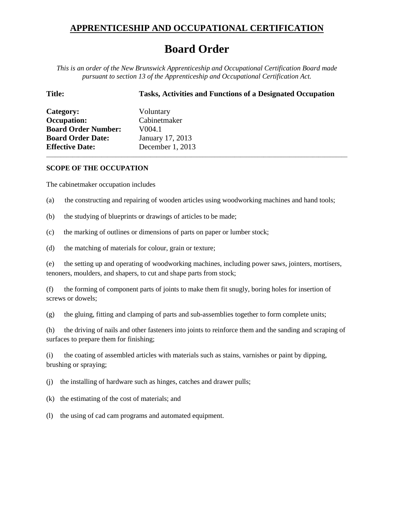## **APPRENTICESHIP AND OCCUPATIONAL CERTIFICATION**

## **Board Order**

*This is an order of the New Brunswick Apprenticeship and Occupational Certification Board made pursuant to section 13 of the Apprenticeship and Occupational Certification Act.*

| <b>Title:</b>              | <b>Tasks, Activities and Functions of a Designated Occupation</b> |
|----------------------------|-------------------------------------------------------------------|
| Category:                  | Voluntary                                                         |
| <b>Occupation:</b>         | Cabinetmaker                                                      |
| <b>Board Order Number:</b> | V <sub>0</sub> 04.1                                               |
| <b>Board Order Date:</b>   | January 17, 2013                                                  |
| <b>Effective Date:</b>     | December 1, 2013                                                  |

## **SCOPE OF THE OCCUPATION**

The cabinetmaker occupation includes

(a) the constructing and repairing of wooden articles using woodworking machines and hand tools;

\_\_\_\_\_\_\_\_\_\_\_\_\_\_\_\_\_\_\_\_\_\_\_\_\_\_\_\_\_\_\_\_\_\_\_\_\_\_\_\_\_\_\_\_\_\_\_\_\_\_\_\_\_\_\_\_\_\_\_\_\_\_\_\_\_\_\_\_\_\_\_\_\_\_\_\_\_\_\_\_\_\_\_\_\_\_\_\_\_\_\_\_\_\_\_\_\_\_\_\_\_\_\_\_

- (b) the studying of blueprints or drawings of articles to be made;
- (c) the marking of outlines or dimensions of parts on paper or lumber stock;
- (d) the matching of materials for colour, grain or texture;

(e) the setting up and operating of woodworking machines, including power saws, jointers, mortisers, tenoners, moulders, and shapers, to cut and shape parts from stock;

(f) the forming of component parts of joints to make them fit snugly, boring holes for insertion of screws or dowels;

(g) the gluing, fitting and clamping of parts and sub-assemblies together to form complete units;

(h) the driving of nails and other fasteners into joints to reinforce them and the sanding and scraping of surfaces to prepare them for finishing;

(i) the coating of assembled articles with materials such as stains, varnishes or paint by dipping, brushing or spraying;

(j) the installing of hardware such as hinges, catches and drawer pulls;

(k) the estimating of the cost of materials; and

(l) the using of cad cam programs and automated equipment.